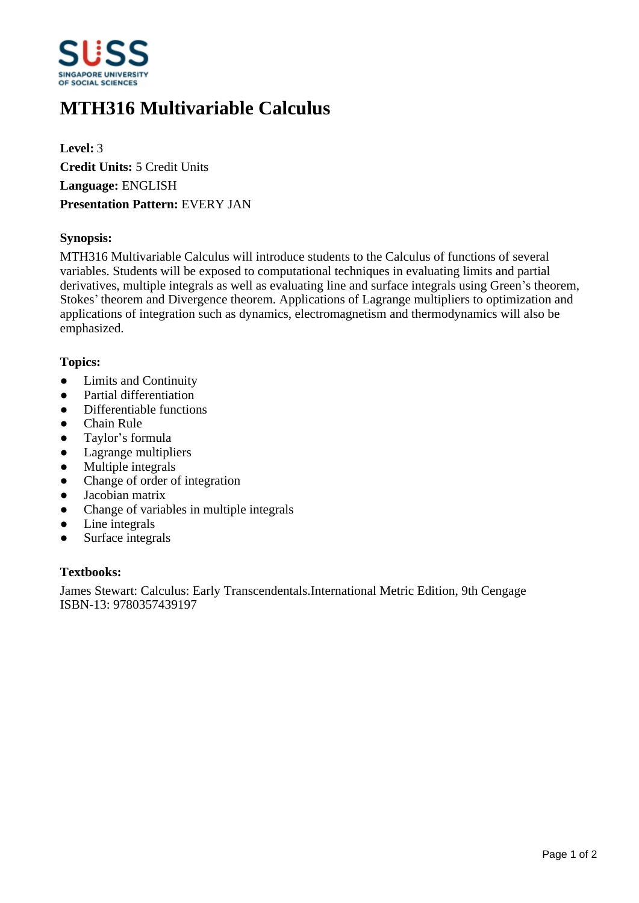

# **MTH316 Multivariable Calculus**

**Level:** 3 **Credit Units:** 5 Credit Units **Language:** ENGLISH **Presentation Pattern:** EVERY JAN

## **Synopsis:**

MTH316 Multivariable Calculus will introduce students to the Calculus of functions of several variables. Students will be exposed to computational techniques in evaluating limits and partial derivatives, multiple integrals as well as evaluating line and surface integrals using Green's theorem, Stokes' theorem and Divergence theorem. Applications of Lagrange multipliers to optimization and applications of integration such as dynamics, electromagnetism and thermodynamics will also be emphasized.

#### **Topics:**

- Limits and Continuity
- Partial differentiation
- Differentiable functions
- Chain Rule
- Taylor's formula
- Lagrange multipliers
- Multiple integrals
- Change of order of integration
- Jacobian matrix
- Change of variables in multiple integrals
- Line integrals
- Surface integrals

#### **Textbooks:**

James Stewart: Calculus: Early Transcendentals.International Metric Edition, 9th Cengage ISBN-13: 9780357439197